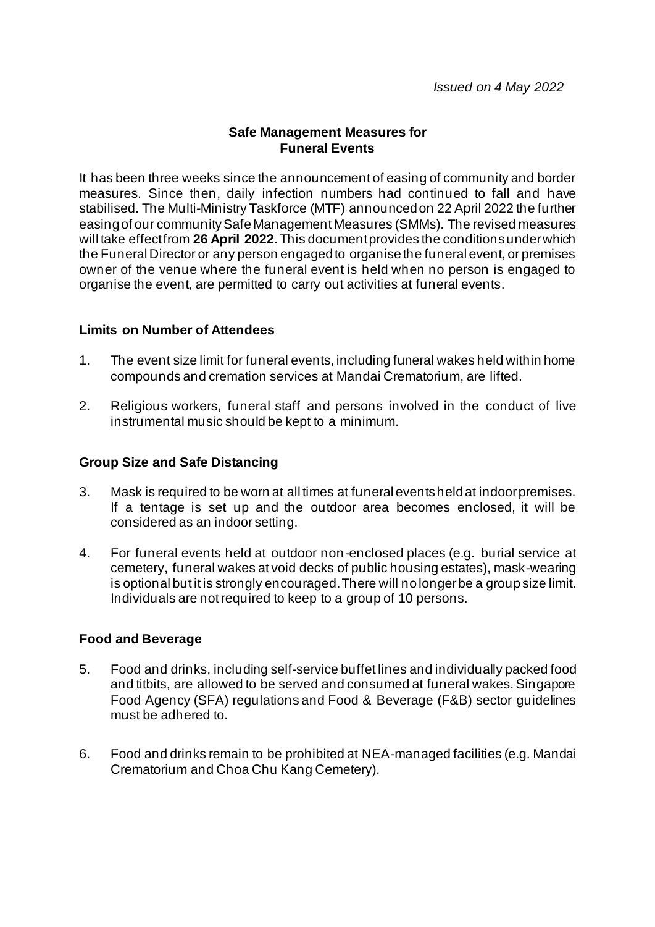## **Safe Management Measures for Funeral Events**

It has been three weeks since the announcement of easing of community and border measures. Since then, daily infection numbers had continued to fall and have stabilised. The Multi-Ministry Taskforce (MTF) announced on 22 April 2022 the further easing of our community Safe Management Measures (SMMs). The revised measures will take effect from **26 April 2022**. This document provides the conditions under which the Funeral Director or any person engaged to organise the funeral event, or premises owner of the venue where the funeral event is held when no person is engaged to organise the event, are permitted to carry out activities at funeral events.

### **Limits on Number of Attendees**

- 1. The event size limit for funeral events, including funeral wakes held within home compounds and cremation services at Mandai Crematorium, are lifted.
- 2. Religious workers, funeral staff and persons involved in the conduct of live instrumental music should be kept to a minimum.

## **Group Size and Safe Distancing**

- 3. Mask is required to be worn at all times at funeral events held at indoor premises. If a tentage is set up and the outdoor area becomes enclosed, it will be considered as an indoor setting.
- 4. For funeral events held at outdoor non-enclosed places (e.g. burial service at cemetery, funeral wakes at void decks of public housing estates), mask-wearing is optional but it is strongly encouraged.There will no longer be a group size limit. Individuals are not required to keep to a group of 10 persons.

#### **Food and Beverage**

- 5. Food and drinks, including self-service buffet lines and individually packed food and titbits, are allowed to be served and consumed at funeral wakes. Singapore Food Agency (SFA) regulations and Food & Beverage (F&B) sector guidelines must be adhered to.
- 6. Food and drinks remain to be prohibited at NEA-managed facilities (e.g. Mandai Crematorium and Choa Chu Kang Cemetery).